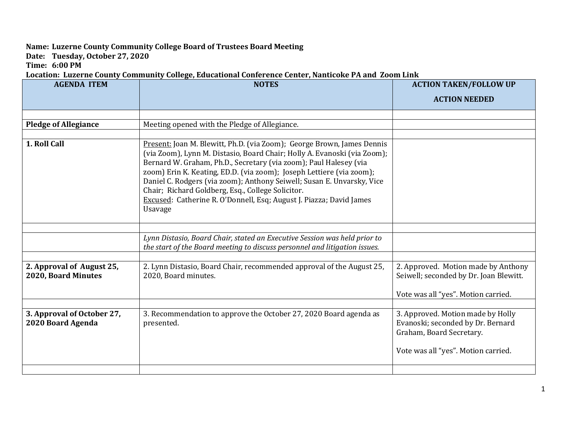## **Name: Luzerne County Community College Board of Trustees Board Meeting**

**Date: Tuesday, October 27, 2020**

**Time: 6:00 PM**

**Location: Luzerne County Community College, Educational Conference Center, Nanticoke PA and Zoom Link**

| <b>AGENDA ITEM</b>                               | <b>NOTES</b>                                                                                                                                                                                                                                                                          | <b>ACTION TAKEN/FOLLOW UP</b>                                                                      |
|--------------------------------------------------|---------------------------------------------------------------------------------------------------------------------------------------------------------------------------------------------------------------------------------------------------------------------------------------|----------------------------------------------------------------------------------------------------|
|                                                  |                                                                                                                                                                                                                                                                                       | <b>ACTION NEEDED</b>                                                                               |
|                                                  |                                                                                                                                                                                                                                                                                       |                                                                                                    |
| <b>Pledge of Allegiance</b>                      | Meeting opened with the Pledge of Allegiance.                                                                                                                                                                                                                                         |                                                                                                    |
| 1. Roll Call                                     | Present: Joan M. Blewitt, Ph.D. (via Zoom); George Brown, James Dennis<br>(via Zoom), Lynn M. Distasio, Board Chair; Holly A. Evanoski (via Zoom);<br>Bernard W. Graham, Ph.D., Secretary (via zoom); Paul Halesey (via                                                               |                                                                                                    |
|                                                  | zoom) Erin K. Keating, ED.D. (via zoom); Joseph Lettiere (via zoom);<br>Daniel C. Rodgers (via zoom); Anthony Seiwell; Susan E. Unvarsky, Vice<br>Chair; Richard Goldberg, Esq., College Solicitor.<br>Excused: Catherine R. O'Donnell, Esq; August J. Piazza; David James<br>Usavage |                                                                                                    |
|                                                  |                                                                                                                                                                                                                                                                                       |                                                                                                    |
|                                                  | Lynn Distasio, Board Chair, stated an Executive Session was held prior to<br>the start of the Board meeting to discuss personnel and litigation issues.                                                                                                                               |                                                                                                    |
|                                                  |                                                                                                                                                                                                                                                                                       |                                                                                                    |
| 2. Approval of August 25,<br>2020, Board Minutes | 2. Lynn Distasio, Board Chair, recommended approval of the August 25,<br>2020, Board minutes.                                                                                                                                                                                         | 2. Approved. Motion made by Anthony<br>Seiwell; seconded by Dr. Joan Blewitt.                      |
|                                                  |                                                                                                                                                                                                                                                                                       | Vote was all "yes". Motion carried.                                                                |
|                                                  |                                                                                                                                                                                                                                                                                       |                                                                                                    |
| 3. Approval of October 27,<br>2020 Board Agenda  | 3. Recommendation to approve the October 27, 2020 Board agenda as<br>presented.                                                                                                                                                                                                       | 3. Approved. Motion made by Holly<br>Evanoski; seconded by Dr. Bernard<br>Graham, Board Secretary. |
|                                                  |                                                                                                                                                                                                                                                                                       | Vote was all "yes". Motion carried.                                                                |
|                                                  |                                                                                                                                                                                                                                                                                       |                                                                                                    |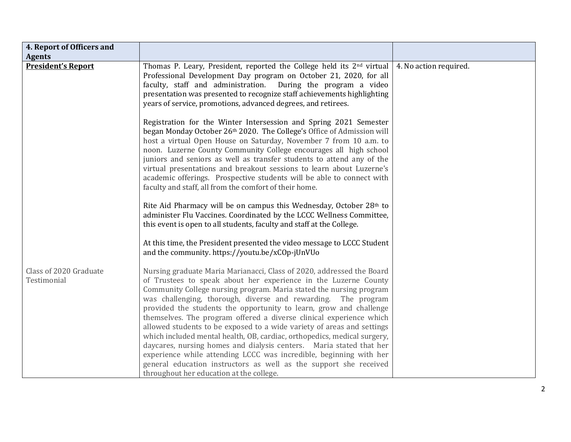| 4. Report of Officers and             |                                                                                                                                                                                                                                                                                                                                                                                                                                                                                                                                                                                                                                                                                                                                                                                                                                                   |                        |
|---------------------------------------|---------------------------------------------------------------------------------------------------------------------------------------------------------------------------------------------------------------------------------------------------------------------------------------------------------------------------------------------------------------------------------------------------------------------------------------------------------------------------------------------------------------------------------------------------------------------------------------------------------------------------------------------------------------------------------------------------------------------------------------------------------------------------------------------------------------------------------------------------|------------------------|
| <b>Agents</b>                         |                                                                                                                                                                                                                                                                                                                                                                                                                                                                                                                                                                                                                                                                                                                                                                                                                                                   |                        |
| <b>President's Report</b>             | Thomas P. Leary, President, reported the College held its 2 <sup>nd</sup> virtual<br>Professional Development Day program on October 21, 2020, for all<br>faculty, staff and administration.<br>During the program a video<br>presentation was presented to recognize staff achievements highlighting<br>years of service, promotions, advanced degrees, and retirees.                                                                                                                                                                                                                                                                                                                                                                                                                                                                            | 4. No action required. |
|                                       | Registration for the Winter Intersession and Spring 2021 Semester<br>began Monday October 26th 2020. The College's Office of Admission will<br>host a virtual Open House on Saturday, November 7 from 10 a.m. to<br>noon. Luzerne County Community College encourages all high school<br>juniors and seniors as well as transfer students to attend any of the<br>virtual presentations and breakout sessions to learn about Luzerne's<br>academic offerings. Prospective students will be able to connect with<br>faculty and staff, all from the comfort of their home.                                                                                                                                                                                                                                                                         |                        |
|                                       | Rite Aid Pharmacy will be on campus this Wednesday, October 28th to<br>administer Flu Vaccines. Coordinated by the LCCC Wellness Committee,<br>this event is open to all students, faculty and staff at the College.                                                                                                                                                                                                                                                                                                                                                                                                                                                                                                                                                                                                                              |                        |
|                                       | At this time, the President presented the video message to LCCC Student<br>and the community. https://youtu.be/xCOp-jUnVUo                                                                                                                                                                                                                                                                                                                                                                                                                                                                                                                                                                                                                                                                                                                        |                        |
| Class of 2020 Graduate<br>Testimonial | Nursing graduate Maria Marianacci, Class of 2020, addressed the Board<br>of Trustees to speak about her experience in the Luzerne County<br>Community College nursing program. Maria stated the nursing program<br>was challenging, thorough, diverse and rewarding. The program<br>provided the students the opportunity to learn, grow and challenge<br>themselves. The program offered a diverse clinical experience which<br>allowed students to be exposed to a wide variety of areas and settings<br>which included mental health, OB, cardiac, orthopedics, medical surgery,<br>daycares, nursing homes and dialysis centers. Maria stated that her<br>experience while attending LCCC was incredible, beginning with her<br>general education instructors as well as the support she received<br>throughout her education at the college. |                        |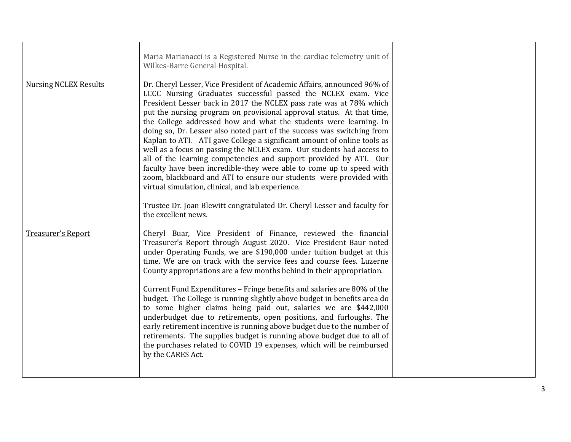| Maria Marianacci is a Registered Nurse in the cardiac telemetry unit of<br>Wilkes-Barre General Hospital.                                                                                                                                                                                                                                                                                                                                                                                                                                                                                                                                                                                                                                                                                                                                                          |                                                                         |
|--------------------------------------------------------------------------------------------------------------------------------------------------------------------------------------------------------------------------------------------------------------------------------------------------------------------------------------------------------------------------------------------------------------------------------------------------------------------------------------------------------------------------------------------------------------------------------------------------------------------------------------------------------------------------------------------------------------------------------------------------------------------------------------------------------------------------------------------------------------------|-------------------------------------------------------------------------|
| Dr. Cheryl Lesser, Vice President of Academic Affairs, announced 96% of<br>LCCC Nursing Graduates successful passed the NCLEX exam. Vice<br>President Lesser back in 2017 the NCLEX pass rate was at 78% which<br>put the nursing program on provisional approval status. At that time,<br>the College addressed how and what the students were learning. In<br>doing so, Dr. Lesser also noted part of the success was switching from<br>Kaplan to ATI. ATI gave College a significant amount of online tools as<br>well as a focus on passing the NCLEX exam. Our students had access to<br>all of the learning competencies and support provided by ATI. Our<br>faculty have been incredible-they were able to come up to speed with<br>zoom, blackboard and ATI to ensure our students were provided with<br>virtual simulation, clinical, and lab experience. |                                                                         |
| Trustee Dr. Joan Blewitt congratulated Dr. Cheryl Lesser and faculty for<br>the excellent news.                                                                                                                                                                                                                                                                                                                                                                                                                                                                                                                                                                                                                                                                                                                                                                    |                                                                         |
| Cheryl Buar, Vice President of Finance, reviewed the financial<br>Treasurer's Report through August 2020. Vice President Baur noted<br>under Operating Funds, we are \$190,000 under tuition budget at this<br>time. We are on track with the service fees and course fees. Luzerne<br>County appropriations are a few months behind in their appropriation.                                                                                                                                                                                                                                                                                                                                                                                                                                                                                                       |                                                                         |
| budget. The College is running slightly above budget in benefits area do<br>to some higher claims being paid out, salaries we are \$442,000<br>underbudget due to retirements, open positions, and furloughs. The<br>early retirement incentive is running above budget due to the number of<br>retirements. The supplies budget is running above budget due to all of<br>the purchases related to COVID 19 expenses, which will be reimbursed<br>by the CARES Act.                                                                                                                                                                                                                                                                                                                                                                                                |                                                                         |
|                                                                                                                                                                                                                                                                                                                                                                                                                                                                                                                                                                                                                                                                                                                                                                                                                                                                    | Current Fund Expenditures - Fringe benefits and salaries are 80% of the |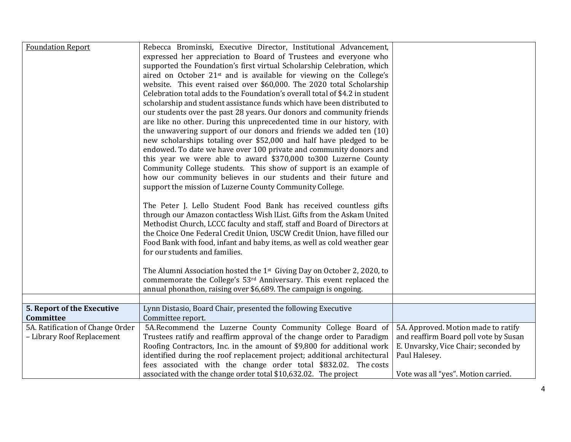| <b>Foundation Report</b>                                       | Rebecca Brominski, Executive Director, Institutional Advancement,<br>expressed her appreciation to Board of Trustees and everyone who<br>supported the Foundation's first virtual Scholarship Celebration, which<br>aired on October 21 <sup>st</sup> and is available for viewing on the College's<br>website. This event raised over \$60,000. The 2020 total Scholarship<br>Celebration total adds to the Foundation's overall total of \$4.2 in student<br>scholarship and student assistance funds which have been distributed to<br>our students over the past 28 years. Our donors and community friends<br>are like no other. During this unprecedented time in our history, with<br>the unwavering support of our donors and friends we added ten (10)<br>new scholarships totaling over \$52,000 and half have pledged to be<br>endowed. To date we have over 100 private and community donors and<br>this year we were able to award \$370,000 to 300 Luzerne County<br>Community College students. This show of support is an example of<br>how our community believes in our students and their future and<br>support the mission of Luzerne County Community College.<br>The Peter J. Lello Student Food Bank has received countless gifts<br>through our Amazon contactless Wish IList. Gifts from the Askam United<br>Methodist Church, LCCC faculty and staff, staff and Board of Directors at<br>the Choice One Federal Credit Union, USCW Credit Union, have filled our<br>Food Bank with food, infant and baby items, as well as cold weather gear<br>for our students and families.<br>The Alumni Association hosted the 1 <sup>st</sup> Giving Day on October 2, 2020, to<br>commemorate the College's 53 <sup>rd</sup> Anniversary. This event replaced the<br>annual phonathon, raising over \$6,689. The campaign is ongoing. |                                                                                                                                       |
|----------------------------------------------------------------|--------------------------------------------------------------------------------------------------------------------------------------------------------------------------------------------------------------------------------------------------------------------------------------------------------------------------------------------------------------------------------------------------------------------------------------------------------------------------------------------------------------------------------------------------------------------------------------------------------------------------------------------------------------------------------------------------------------------------------------------------------------------------------------------------------------------------------------------------------------------------------------------------------------------------------------------------------------------------------------------------------------------------------------------------------------------------------------------------------------------------------------------------------------------------------------------------------------------------------------------------------------------------------------------------------------------------------------------------------------------------------------------------------------------------------------------------------------------------------------------------------------------------------------------------------------------------------------------------------------------------------------------------------------------------------------------------------------------------------------------------------------------------------------------------------------------------------------------------------|---------------------------------------------------------------------------------------------------------------------------------------|
| 5. Report of the Executive                                     | Lynn Distasio, Board Chair, presented the following Executive                                                                                                                                                                                                                                                                                                                                                                                                                                                                                                                                                                                                                                                                                                                                                                                                                                                                                                                                                                                                                                                                                                                                                                                                                                                                                                                                                                                                                                                                                                                                                                                                                                                                                                                                                                                          |                                                                                                                                       |
| Committee                                                      | Committee report.                                                                                                                                                                                                                                                                                                                                                                                                                                                                                                                                                                                                                                                                                                                                                                                                                                                                                                                                                                                                                                                                                                                                                                                                                                                                                                                                                                                                                                                                                                                                                                                                                                                                                                                                                                                                                                      |                                                                                                                                       |
| 5A. Ratification of Change Order<br>- Library Roof Replacement | 5A.Recommend the Luzerne County Community College Board of<br>Trustees ratify and reaffirm approval of the change order to Paradigm<br>Roofing Contractors, Inc. in the amount of \$9,800 for additional work<br>identified during the roof replacement project; additional architectural<br>fees associated with the change order total \$832.02. The costs                                                                                                                                                                                                                                                                                                                                                                                                                                                                                                                                                                                                                                                                                                                                                                                                                                                                                                                                                                                                                                                                                                                                                                                                                                                                                                                                                                                                                                                                                           | 5A. Approved. Motion made to ratify<br>and reaffirm Board poll vote by Susan<br>E. Unvarsky, Vice Chair; seconded by<br>Paul Halesey. |
|                                                                | associated with the change order total \$10,632.02. The project                                                                                                                                                                                                                                                                                                                                                                                                                                                                                                                                                                                                                                                                                                                                                                                                                                                                                                                                                                                                                                                                                                                                                                                                                                                                                                                                                                                                                                                                                                                                                                                                                                                                                                                                                                                        | Vote was all "yes". Motion carried.                                                                                                   |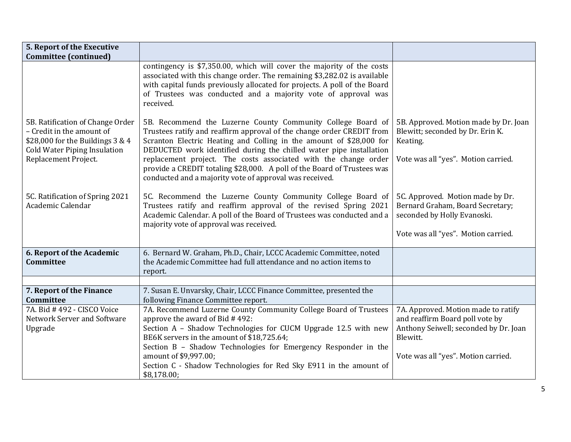| 5. Report of the Executive                                                                                                                                         |                                                                                                                                                                                                                                                                                                                                                                                                                                                                                             |                                                                                                                                                                    |
|--------------------------------------------------------------------------------------------------------------------------------------------------------------------|---------------------------------------------------------------------------------------------------------------------------------------------------------------------------------------------------------------------------------------------------------------------------------------------------------------------------------------------------------------------------------------------------------------------------------------------------------------------------------------------|--------------------------------------------------------------------------------------------------------------------------------------------------------------------|
| <b>Committee (continued)</b>                                                                                                                                       |                                                                                                                                                                                                                                                                                                                                                                                                                                                                                             |                                                                                                                                                                    |
|                                                                                                                                                                    | contingency is \$7,350.00, which will cover the majority of the costs<br>associated with this change order. The remaining \$3,282.02 is available<br>with capital funds previously allocated for projects. A poll of the Board<br>of Trustees was conducted and a majority vote of approval was<br>received.                                                                                                                                                                                |                                                                                                                                                                    |
| 5B. Ratification of Change Order<br>- Credit in the amount of<br>\$28,000 for the Buildings $3 & 4$<br><b>Cold Water Piping Insulation</b><br>Replacement Project. | 5B. Recommend the Luzerne County Community College Board of<br>Trustees ratify and reaffirm approval of the change order CREDIT from<br>Scranton Electric Heating and Colling in the amount of \$28,000 for<br>DEDUCTED work identified during the chilled water pipe installation<br>replacement project. The costs associated with the change order<br>provide a CREDIT totaling \$28,000. A poll of the Board of Trustees was<br>conducted and a majority vote of approval was received. | 5B. Approved. Motion made by Dr. Joan<br>Blewitt; seconded by Dr. Erin K.<br>Keating.<br>Vote was all "yes". Motion carried.                                       |
| 5C. Ratification of Spring 2021<br>Academic Calendar                                                                                                               | 5C. Recommend the Luzerne County Community College Board of<br>Trustees ratify and reaffirm approval of the revised Spring 2021<br>Academic Calendar. A poll of the Board of Trustees was conducted and a<br>majority vote of approval was received.                                                                                                                                                                                                                                        | 5C. Approved. Motion made by Dr.<br>Bernard Graham, Board Secretary;<br>seconded by Holly Evanoski.<br>Vote was all "yes". Motion carried.                         |
| 6. Report of the Academic<br>Committee                                                                                                                             | 6. Bernard W. Graham, Ph.D., Chair, LCCC Academic Committee, noted<br>the Academic Committee had full attendance and no action items to<br>report.                                                                                                                                                                                                                                                                                                                                          |                                                                                                                                                                    |
|                                                                                                                                                                    |                                                                                                                                                                                                                                                                                                                                                                                                                                                                                             |                                                                                                                                                                    |
| 7. Report of the Finance<br>Committee                                                                                                                              | 7. Susan E. Unvarsky, Chair, LCCC Finance Committee, presented the<br>following Finance Committee report.                                                                                                                                                                                                                                                                                                                                                                                   |                                                                                                                                                                    |
| 7A. Bid # 492 - CISCO Voice<br>Network Server and Software<br>Upgrade                                                                                              | 7A. Recommend Luzerne County Community College Board of Trustees<br>approve the award of Bid #492:<br>Section A - Shadow Technologies for CUCM Upgrade 12.5 with new<br>BE6K servers in the amount of \$18,725.64;<br>Section B - Shadow Technologies for Emergency Responder in the<br>amount of \$9,997.00;<br>Section C - Shadow Technologies for Red Sky E911 in the amount of<br>\$8,178.00;                                                                                           | 7A. Approved. Motion made to ratify<br>and reaffirm Board poll vote by<br>Anthony Seiwell; seconded by Dr. Joan<br>Blewitt.<br>Vote was all "yes". Motion carried. |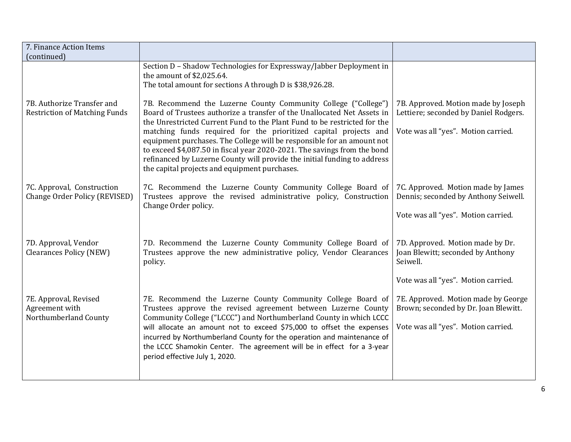| 7. Finance Action Items                                            |                                                                                                                                                                                                                                                                                                                                                                                                                                                                                                                                                                              |                                                                                                                          |
|--------------------------------------------------------------------|------------------------------------------------------------------------------------------------------------------------------------------------------------------------------------------------------------------------------------------------------------------------------------------------------------------------------------------------------------------------------------------------------------------------------------------------------------------------------------------------------------------------------------------------------------------------------|--------------------------------------------------------------------------------------------------------------------------|
| (continued)                                                        |                                                                                                                                                                                                                                                                                                                                                                                                                                                                                                                                                                              |                                                                                                                          |
|                                                                    | Section D - Shadow Technologies for Expressway/Jabber Deployment in<br>the amount of \$2,025.64.<br>The total amount for sections A through D is \$38,926.28.                                                                                                                                                                                                                                                                                                                                                                                                                |                                                                                                                          |
| 7B. Authorize Transfer and<br><b>Restriction of Matching Funds</b> | 7B. Recommend the Luzerne County Community College ("College")<br>Board of Trustees authorize a transfer of the Unallocated Net Assets in<br>the Unrestricted Current Fund to the Plant Fund to be restricted for the<br>matching funds required for the prioritized capital projects and<br>equipment purchases. The College will be responsible for an amount not<br>to exceed \$4,087.50 in fiscal year 2020-2021. The savings from the bond<br>refinanced by Luzerne County will provide the initial funding to address<br>the capital projects and equipment purchases. | 7B. Approved. Motion made by Joseph<br>Lettiere; seconded by Daniel Rodgers.<br>Vote was all "yes". Motion carried.      |
| 7C. Approval, Construction<br>Change Order Policy (REVISED)        | 7C. Recommend the Luzerne County Community College Board of<br>Trustees approve the revised administrative policy, Construction<br>Change Order policy.                                                                                                                                                                                                                                                                                                                                                                                                                      | 7C. Approved. Motion made by James<br>Dennis; seconded by Anthony Seiwell.<br>Vote was all "yes". Motion carried.        |
| 7D. Approval, Vendor<br><b>Clearances Policy (NEW)</b>             | 7D. Recommend the Luzerne County Community College Board of<br>Trustees approve the new administrative policy, Vendor Clearances<br>policy.                                                                                                                                                                                                                                                                                                                                                                                                                                  | 7D. Approved. Motion made by Dr.<br>Joan Blewitt; seconded by Anthony<br>Seiwell.<br>Vote was all "yes". Motion carried. |
| 7E. Approval, Revised<br>Agreement with<br>Northumberland County   | 7E. Recommend the Luzerne County Community College Board of<br>Trustees approve the revised agreement between Luzerne County<br>Community College ("LCCC") and Northumberland County in which LCCC<br>will allocate an amount not to exceed \$75,000 to offset the expenses<br>incurred by Northumberland County for the operation and maintenance of<br>the LCCC Shamokin Center. The agreement will be in effect for a 3-year<br>period effective July 1, 2020.                                                                                                            | 7E. Approved. Motion made by George<br>Brown; seconded by Dr. Joan Blewitt.<br>Vote was all "yes". Motion carried.       |